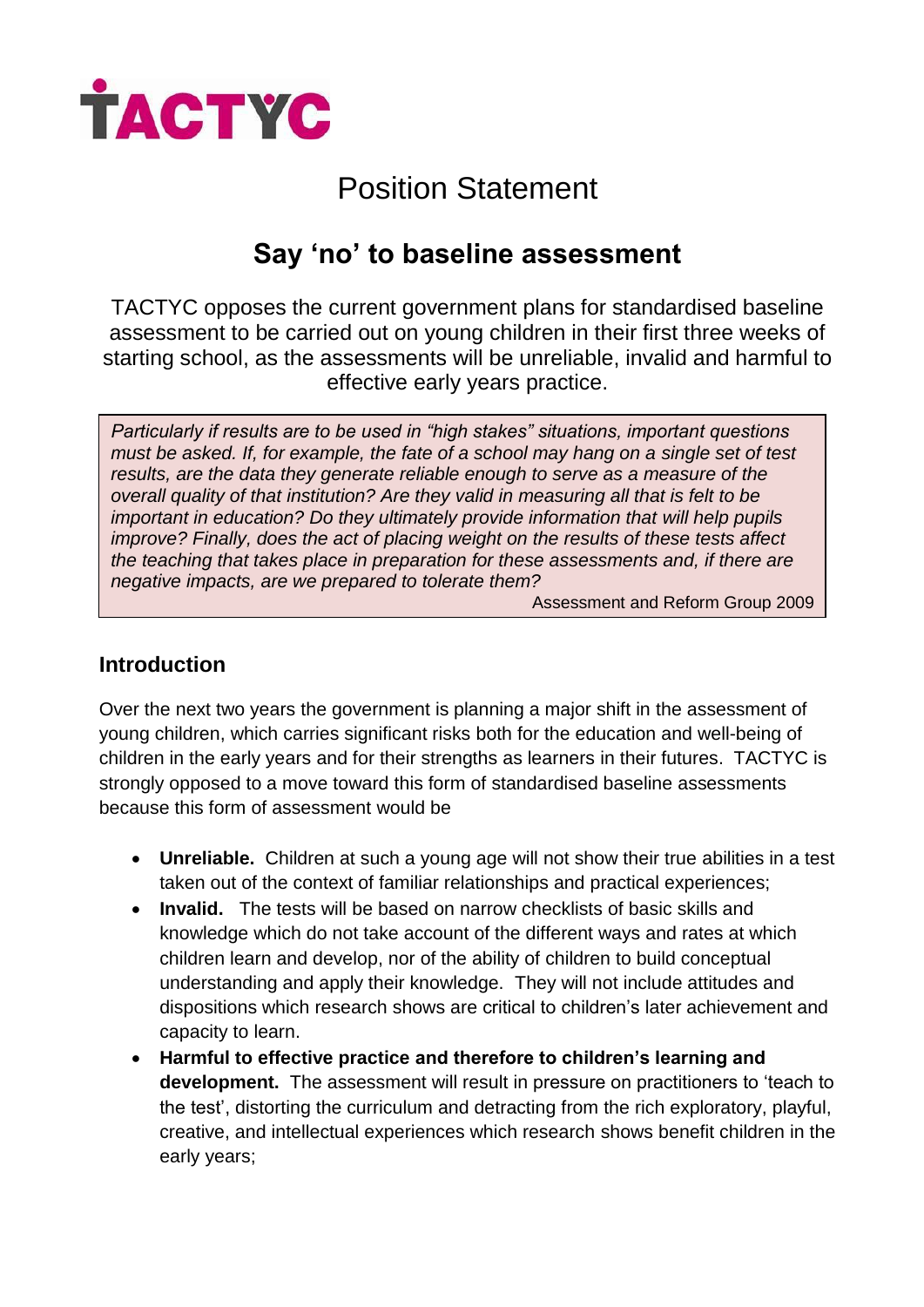

# Position Statement

# **Say 'no' to baseline assessment**

TACTYC opposes the current government plans for standardised baseline assessment to be carried out on young children in their first three weeks of starting school, as the assessments will be unreliable, invalid and harmful to effective early years practice.

*Particularly if results are to be used in "high stakes" situations, important questions must be asked. If, for example, the fate of a school may hang on a single set of test results, are the data they generate reliable enough to serve as a measure of the overall quality of that institution? Are they valid in measuring all that is felt to be important in education? Do they ultimately provide information that will help pupils improve? Finally, does the act of placing weight on the results of these tests affect the teaching that takes place in preparation for these assessments and, if there are negative impacts, are we prepared to tolerate them?*

Assessment and Reform Group 2009

## **Introduction**

Over the next two years the government is planning a major shift in the assessment of young children, which carries significant risks both for the education and well-being of children in the early years and for their strengths as learners in their futures. TACTYC is strongly opposed to a move toward this form of standardised baseline assessments because this form of assessment would be

- **Unreliable.** Children at such a young age will not show their true abilities in a test taken out of the context of familiar relationships and practical experiences;
- **Invalid.** The tests will be based on narrow checklists of basic skills and knowledge which do not take account of the different ways and rates at which children learn and develop, nor of the ability of children to build conceptual understanding and apply their knowledge. They will not include attitudes and dispositions which research shows are critical to children's later achievement and capacity to learn.
- **Harmful to effective practice and therefore to children's learning and development.** The assessment will result in pressure on practitioners to 'teach to the test', distorting the curriculum and detracting from the rich exploratory, playful, creative, and intellectual experiences which research shows benefit children in the early years;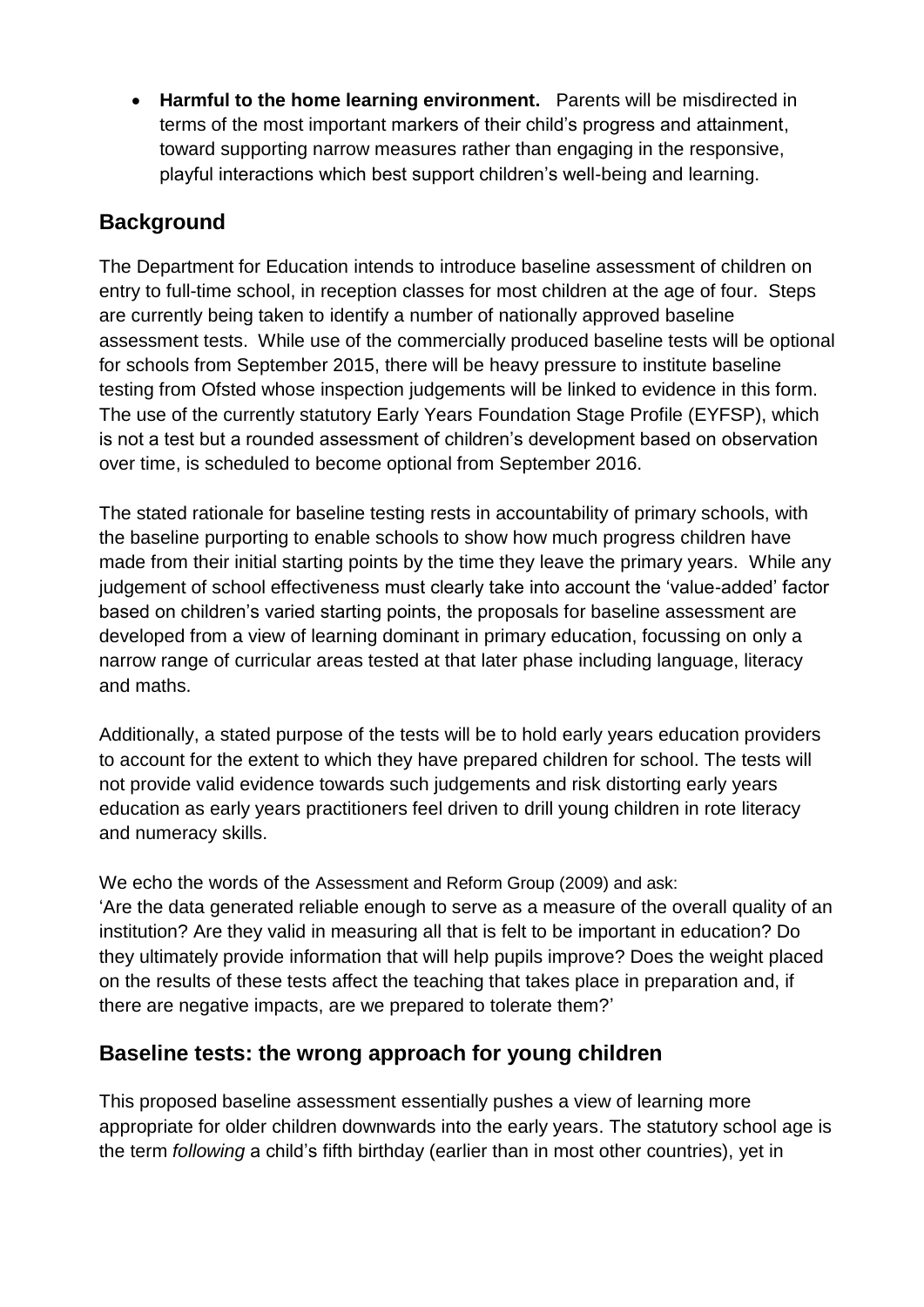**Harmful to the home learning environment.** Parents will be misdirected in terms of the most important markers of their child's progress and attainment, toward supporting narrow measures rather than engaging in the responsive, playful interactions which best support children's well-being and learning.

## **Background**

The Department for Education intends to introduce baseline assessment of children on entry to full-time school, in reception classes for most children at the age of four. Steps are currently being taken to identify a number of nationally approved baseline assessment tests. While use of the commercially produced baseline tests will be optional for schools from September 2015, there will be heavy pressure to institute baseline testing from Ofsted whose inspection judgements will be linked to evidence in this form. The use of the currently statutory Early Years Foundation Stage Profile (EYFSP), which is not a test but a rounded assessment of children's development based on observation over time, is scheduled to become optional from September 2016.

The stated rationale for baseline testing rests in accountability of primary schools, with the baseline purporting to enable schools to show how much progress children have made from their initial starting points by the time they leave the primary years. While any iudgement of school effectiveness must clearly take into account the 'value-added' factor based on children's varied starting points, the proposals for baseline assessment are developed from a view of learning dominant in primary education, focussing on only a narrow range of curricular areas tested at that later phase including language, literacy and maths.

Additionally, a stated purpose of the tests will be to hold early years education providers to account for the extent to which they have prepared children for school. The tests will not provide valid evidence towards such judgements and risk distorting early years education as early years practitioners feel driven to drill young children in rote literacy and numeracy skills.

We echo the words of the Assessment and Reform Group (2009) and ask: 'Are the data generated reliable enough to serve as a measure of the overall quality of an institution? Are they valid in measuring all that is felt to be important in education? Do they ultimately provide information that will help pupils improve? Does the weight placed on the results of these tests affect the teaching that takes place in preparation and, if there are negative impacts, are we prepared to tolerate them?'

## **Baseline tests: the wrong approach for young children**

This proposed baseline assessment essentially pushes a view of learning more appropriate for older children downwards into the early years. The statutory school age is the term *following* a child's fifth birthday (earlier than in most other countries), yet in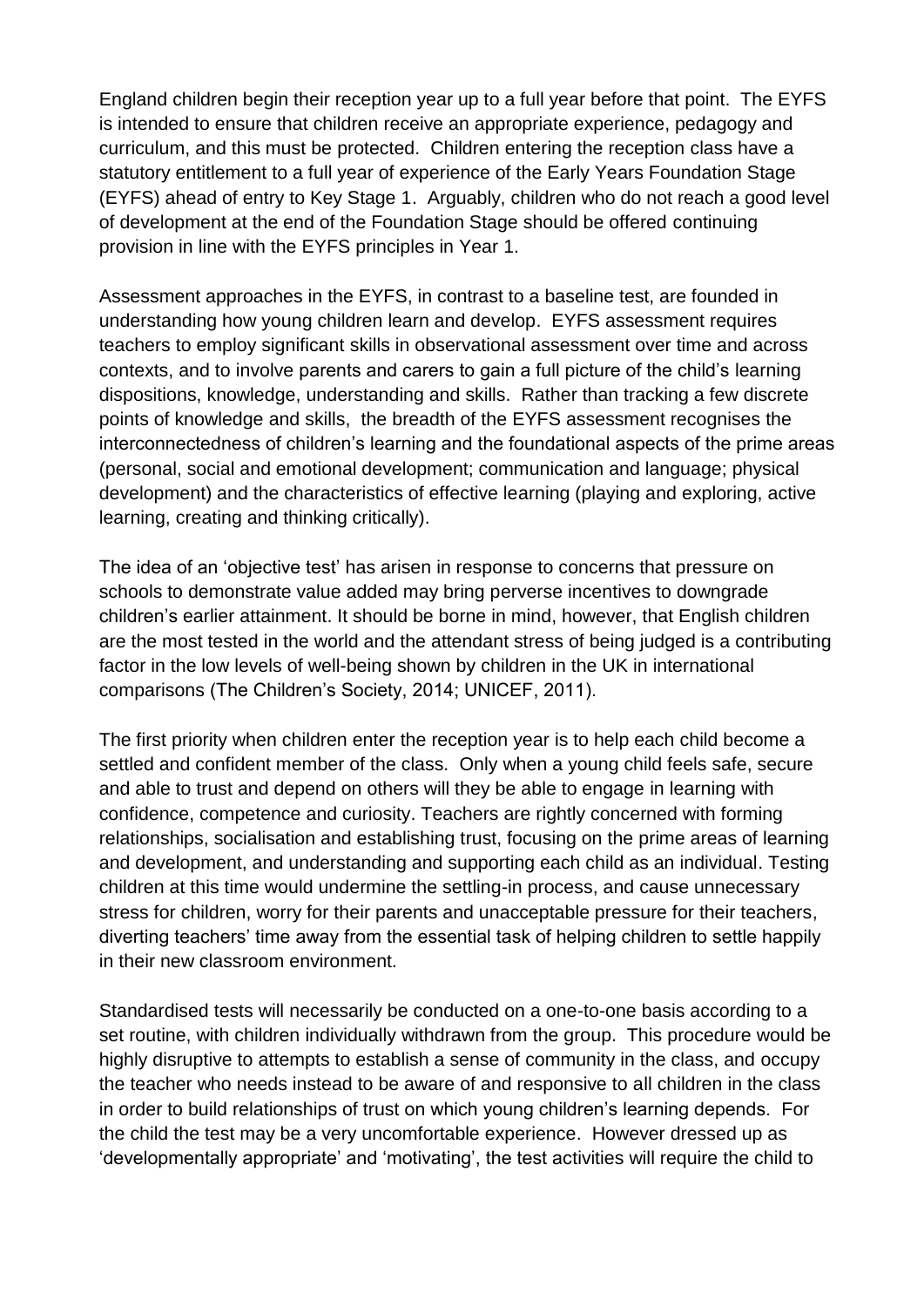England children begin their reception year up to a full year before that point. The EYFS is intended to ensure that children receive an appropriate experience, pedagogy and curriculum, and this must be protected. Children entering the reception class have a statutory entitlement to a full year of experience of the Early Years Foundation Stage (EYFS) ahead of entry to Key Stage 1. Arguably, children who do not reach a good level of development at the end of the Foundation Stage should be offered continuing provision in line with the EYFS principles in Year 1.

Assessment approaches in the EYFS, in contrast to a baseline test, are founded in understanding how young children learn and develop. EYFS assessment requires teachers to employ significant skills in observational assessment over time and across contexts, and to involve parents and carers to gain a full picture of the child's learning dispositions, knowledge, understanding and skills. Rather than tracking a few discrete points of knowledge and skills, the breadth of the EYFS assessment recognises the interconnectedness of children's learning and the foundational aspects of the prime areas (personal, social and emotional development; communication and language; physical development) and the characteristics of effective learning (playing and exploring, active learning, creating and thinking critically).

The idea of an 'objective test' has arisen in response to concerns that pressure on schools to demonstrate value added may bring perverse incentives to downgrade children's earlier attainment. It should be borne in mind, however, that English children are the most tested in the world and the attendant stress of being judged is a contributing factor in the low levels of well-being shown by children in the UK in international comparisons (The Children's Society, 2014; UNICEF, 2011).

The first priority when children enter the reception year is to help each child become a settled and confident member of the class. Only when a young child feels safe, secure and able to trust and depend on others will they be able to engage in learning with confidence, competence and curiosity. Teachers are rightly concerned with forming relationships, socialisation and establishing trust, focusing on the prime areas of learning and development, and understanding and supporting each child as an individual. Testing children at this time would undermine the settling-in process, and cause unnecessary stress for children, worry for their parents and unacceptable pressure for their teachers, diverting teachers' time away from the essential task of helping children to settle happily in their new classroom environment.

Standardised tests will necessarily be conducted on a one-to-one basis according to a set routine, with children individually withdrawn from the group. This procedure would be highly disruptive to attempts to establish a sense of community in the class, and occupy the teacher who needs instead to be aware of and responsive to all children in the class in order to build relationships of trust on which young children's learning depends. For the child the test may be a very uncomfortable experience. However dressed up as 'developmentally appropriate' and 'motivating', the test activities will require the child to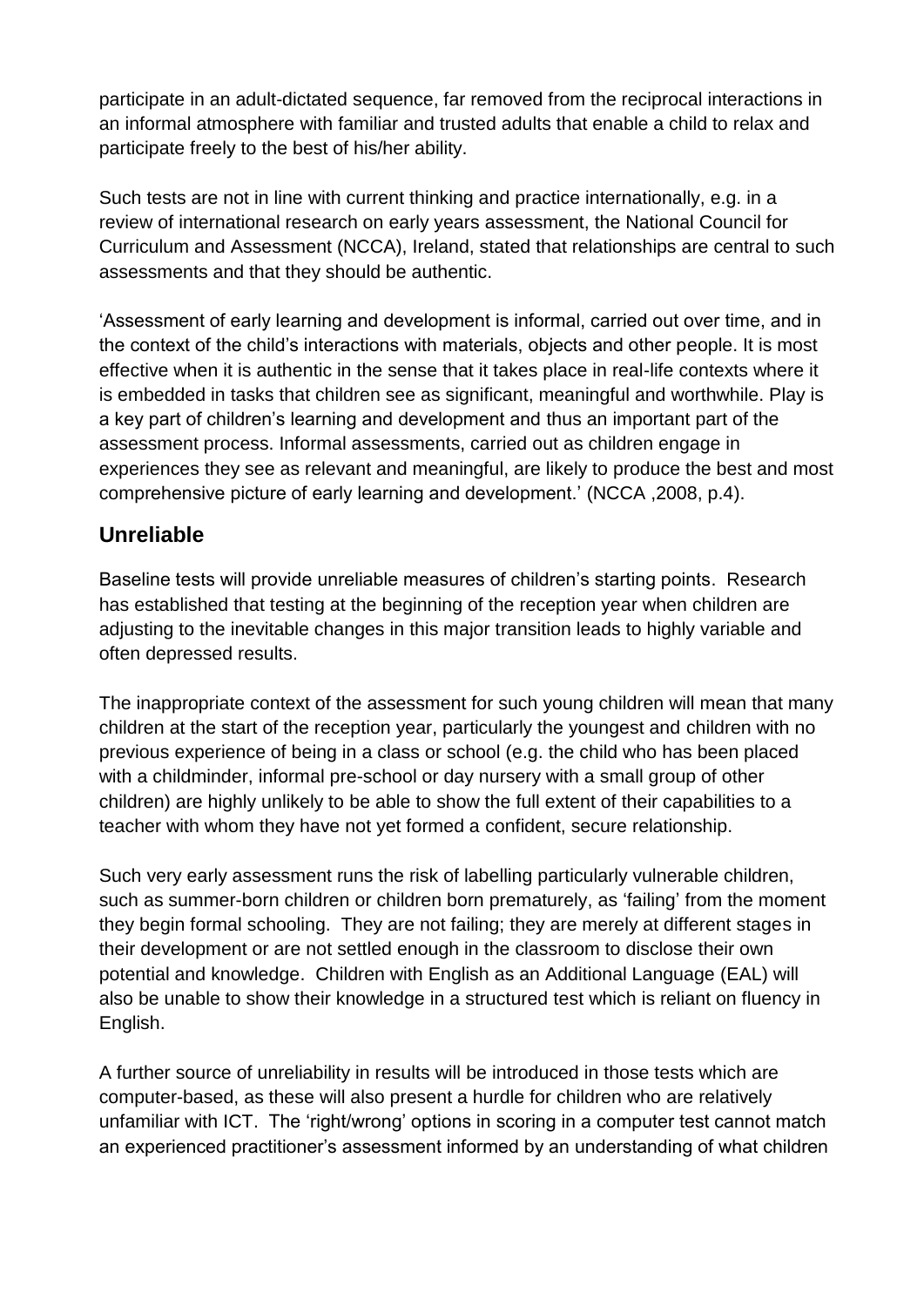participate in an adult-dictated sequence, far removed from the reciprocal interactions in an informal atmosphere with familiar and trusted adults that enable a child to relax and participate freely to the best of his/her ability.

Such tests are not in line with current thinking and practice internationally, e.g. in a review of international research on early years assessment, the National Council for Curriculum and Assessment (NCCA), Ireland, stated that relationships are central to such assessments and that they should be authentic.

'Assessment of early learning and development is informal, carried out over time, and in the context of the child's interactions with materials, objects and other people. It is most effective when it is authentic in the sense that it takes place in real-life contexts where it is embedded in tasks that children see as significant, meaningful and worthwhile. Play is a key part of children's learning and development and thus an important part of the assessment process. Informal assessments, carried out as children engage in experiences they see as relevant and meaningful, are likely to produce the best and most comprehensive picture of early learning and development.' (NCCA ,2008, p.4).

## **Unreliable**

Baseline tests will provide unreliable measures of children's starting points. Research has established that testing at the beginning of the reception year when children are adjusting to the inevitable changes in this major transition leads to highly variable and often depressed results.

The inappropriate context of the assessment for such young children will mean that many children at the start of the reception year, particularly the youngest and children with no previous experience of being in a class or school (e.g. the child who has been placed with a childminder, informal pre-school or day nursery with a small group of other children) are highly unlikely to be able to show the full extent of their capabilities to a teacher with whom they have not yet formed a confident, secure relationship.

Such very early assessment runs the risk of labelling particularly vulnerable children, such as summer-born children or children born prematurely, as 'failing' from the moment they begin formal schooling. They are not failing; they are merely at different stages in their development or are not settled enough in the classroom to disclose their own potential and knowledge. Children with English as an Additional Language (EAL) will also be unable to show their knowledge in a structured test which is reliant on fluency in English.

A further source of unreliability in results will be introduced in those tests which are computer-based, as these will also present a hurdle for children who are relatively unfamiliar with ICT. The 'right/wrong' options in scoring in a computer test cannot match an experienced practitioner's assessment informed by an understanding of what children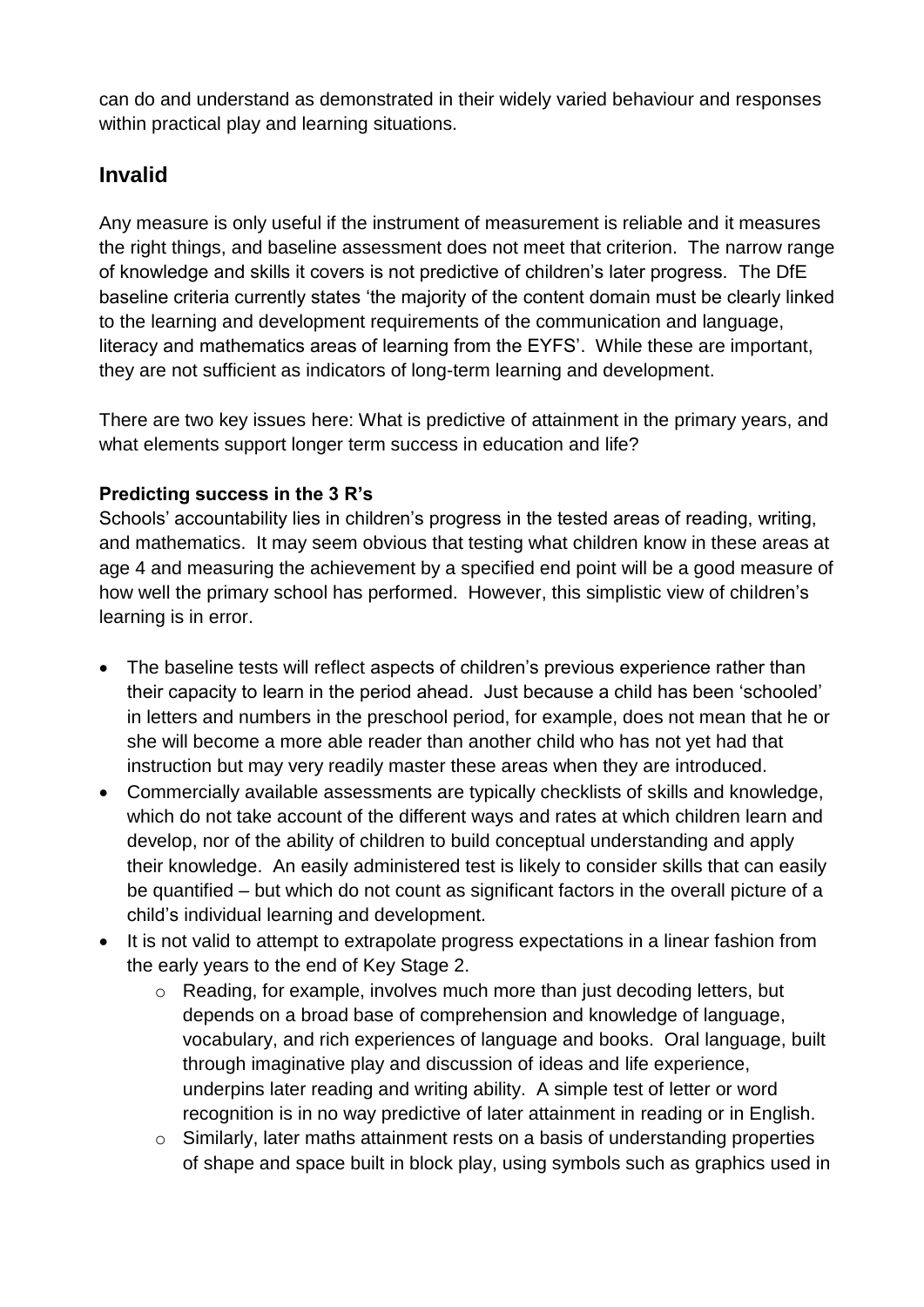can do and understand as demonstrated in their widely varied behaviour and responses within practical play and learning situations.

## **Invalid**

Any measure is only useful if the instrument of measurement is reliable and it measures the right things, and baseline assessment does not meet that criterion. The narrow range of knowledge and skills it covers is not predictive of children's later progress. The DfE baseline criteria currently states 'the majority of the content domain must be clearly linked to the learning and development requirements of the communication and language, literacy and mathematics areas of learning from the EYFS'. While these are important, they are not sufficient as indicators of long-term learning and development.

There are two key issues here: What is predictive of attainment in the primary years, and what elements support longer term success in education and life?

### **Predicting success in the 3 R's**

Schools' accountability lies in children's progress in the tested areas of reading, writing, and mathematics. It may seem obvious that testing what children know in these areas at age 4 and measuring the achievement by a specified end point will be a good measure of how well the primary school has performed. However, this simplistic view of children's learning is in error.

- The baseline tests will reflect aspects of children's previous experience rather than their capacity to learn in the period ahead. Just because a child has been 'schooled' in letters and numbers in the preschool period, for example, does not mean that he or she will become a more able reader than another child who has not yet had that instruction but may very readily master these areas when they are introduced.
- Commercially available assessments are typically checklists of skills and knowledge, which do not take account of the different ways and rates at which children learn and develop, nor of the ability of children to build conceptual understanding and apply their knowledge. An easily administered test is likely to consider skills that can easily be quantified – but which do not count as significant factors in the overall picture of a child's individual learning and development.
- It is not valid to attempt to extrapolate progress expectations in a linear fashion from the early years to the end of Key Stage 2.
	- o Reading, for example, involves much more than just decoding letters, but depends on a broad base of comprehension and knowledge of language, vocabulary, and rich experiences of language and books. Oral language, built through imaginative play and discussion of ideas and life experience, underpins later reading and writing ability. A simple test of letter or word recognition is in no way predictive of later attainment in reading or in English.
	- o Similarly, later maths attainment rests on a basis of understanding properties of shape and space built in block play, using symbols such as graphics used in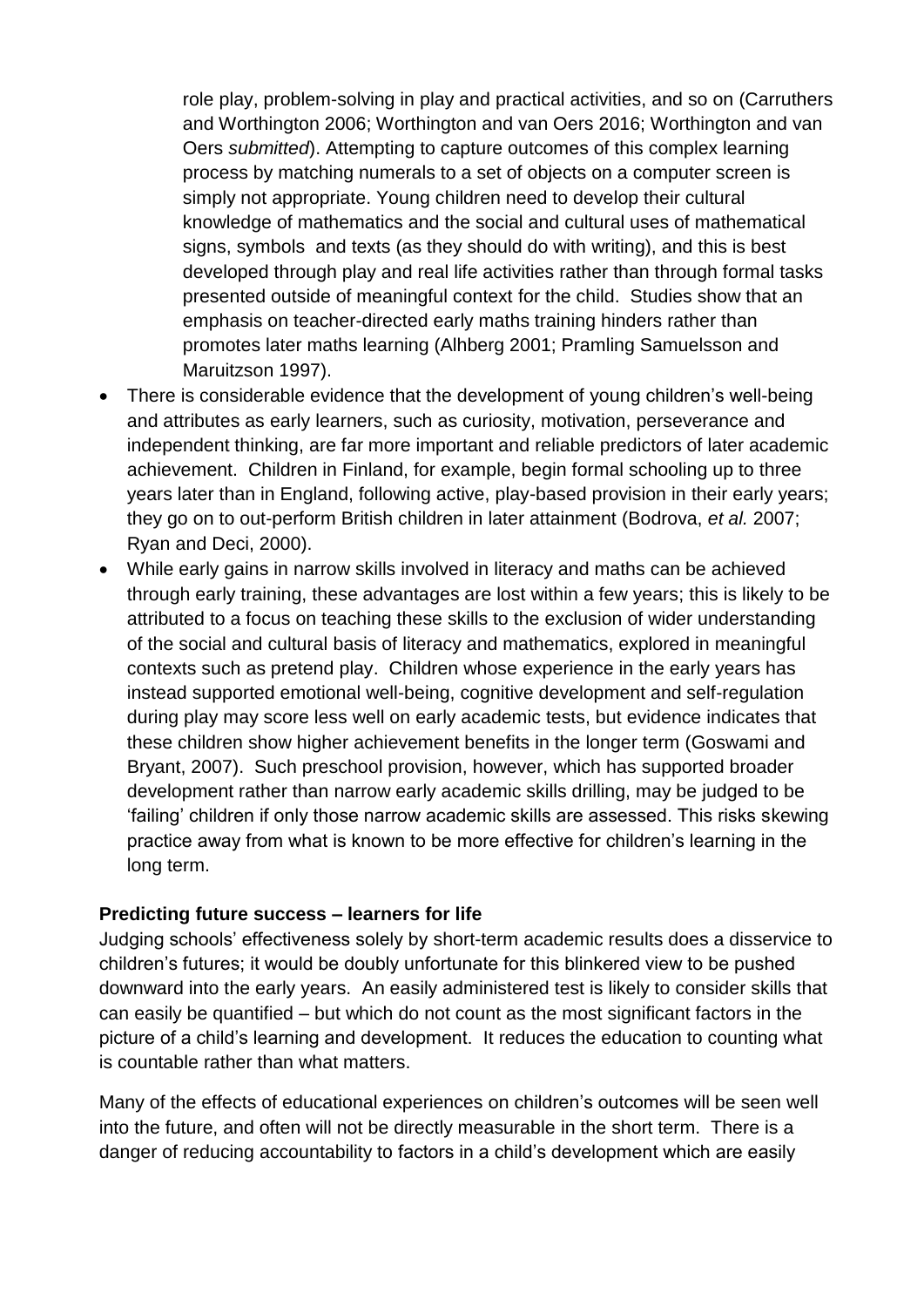role play, problem-solving in play and practical activities, and so on (Carruthers and Worthington 2006; Worthington and van Oers 2016; Worthington and van Oers *submitted*). Attempting to capture outcomes of this complex learning process by matching numerals to a set of objects on a computer screen is simply not appropriate. Young children need to develop their cultural knowledge of mathematics and the social and cultural uses of mathematical signs, symbols and texts (as they should do with writing), and this is best developed through play and real life activities rather than through formal tasks presented outside of meaningful context for the child. Studies show that an emphasis on teacher-directed early maths training hinders rather than promotes later maths learning (Alhberg 2001; Pramling Samuelsson and Maruitzson 1997).

- There is considerable evidence that the development of young children's well-being and attributes as early learners, such as curiosity, motivation, perseverance and independent thinking, are far more important and reliable predictors of later academic achievement. Children in Finland, for example, begin formal schooling up to three years later than in England, following active, play-based provision in their early years; they go on to out-perform British children in later attainment (Bodrova, *et al.* 2007; Ryan and Deci, 2000).
- While early gains in narrow skills involved in literacy and maths can be achieved through early training, these advantages are lost within a few years; this is likely to be attributed to a focus on teaching these skills to the exclusion of wider understanding of the social and cultural basis of literacy and mathematics, explored in meaningful contexts such as pretend play. Children whose experience in the early years has instead supported emotional well-being, cognitive development and self-regulation during play may score less well on early academic tests, but evidence indicates that these children show higher achievement benefits in the longer term (Goswami and Bryant, 2007). Such preschool provision, however, which has supported broader development rather than narrow early academic skills drilling, may be judged to be 'failing' children if only those narrow academic skills are assessed. This risks skewing practice away from what is known to be more effective for children's learning in the long term.

#### **Predicting future success – learners for life**

Judging schools' effectiveness solely by short-term academic results does a disservice to children's futures; it would be doubly unfortunate for this blinkered view to be pushed downward into the early years. An easily administered test is likely to consider skills that can easily be quantified – but which do not count as the most significant factors in the picture of a child's learning and development. It reduces the education to counting what is countable rather than what matters.

Many of the effects of educational experiences on children's outcomes will be seen well into the future, and often will not be directly measurable in the short term. There is a danger of reducing accountability to factors in a child's development which are easily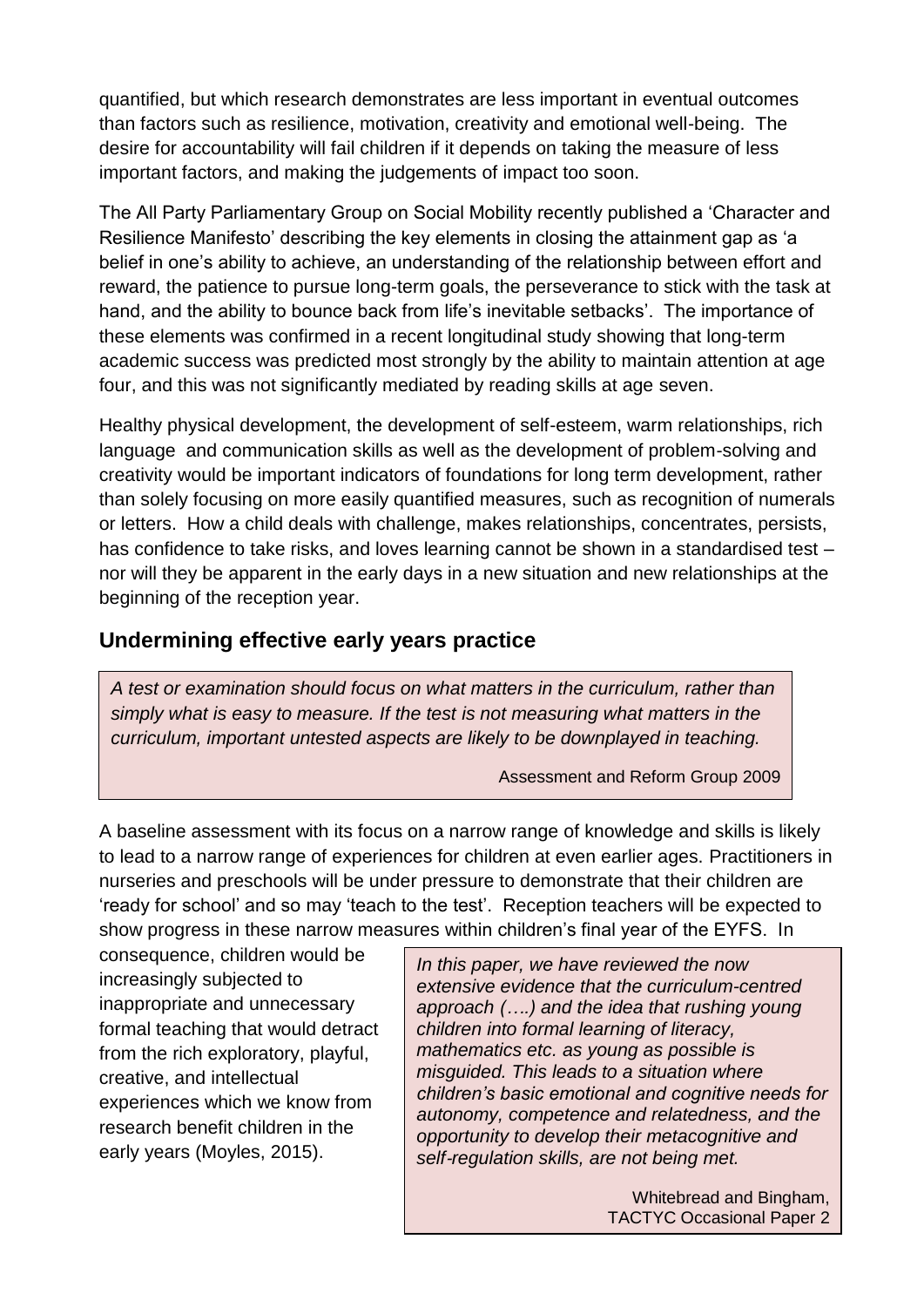quantified, but which research demonstrates are less important in eventual outcomes than factors such as resilience, motivation, creativity and emotional well-being. The desire for accountability will fail children if it depends on taking the measure of less important factors, and making the judgements of impact too soon.

The All Party Parliamentary Group on Social Mobility recently published a 'Character and Resilience Manifesto' describing the key elements in closing the attainment gap as 'a belief in one's ability to achieve, an understanding of the relationship between effort and reward, the patience to pursue long-term goals, the perseverance to stick with the task at hand, and the ability to bounce back from life's inevitable setbacks'. The importance of these elements was confirmed in a recent longitudinal study showing that long-term academic success was predicted most strongly by the ability to maintain attention at age four, and this was not significantly mediated by reading skills at age seven.

Healthy physical development, the development of self-esteem, warm relationships, rich language and communication skills as well as the development of problem-solving and creativity would be important indicators of foundations for long term development, rather than solely focusing on more easily quantified measures, such as recognition of numerals or letters. How a child deals with challenge, makes relationships, concentrates, persists, has confidence to take risks, and loves learning cannot be shown in a standardised test – nor will they be apparent in the early days in a new situation and new relationships at the beginning of the reception year.

### **Undermining effective early years practice**

*A test or examination should focus on what matters in the curriculum, rather than simply what is easy to measure. If the test is not measuring what matters in the curriculum, important untested aspects are likely to be downplayed in teaching.*

Assessment and Reform Group 2009

A baseline assessment with its focus on a narrow range of knowledge and skills is likely to lead to a narrow range of experiences for children at even earlier ages. Practitioners in nurseries and preschools will be under pressure to demonstrate that their children are 'ready for school' and so may 'teach to the test'. Reception teachers will be expected to show progress in these narrow measures within children's final year of the EYFS. In

consequence, children would be increasingly subjected to inappropriate and unnecessary formal teaching that would detract from the rich exploratory, playful, creative, and intellectual experiences which we know from research benefit children in the early years (Moyles, 2015).

*In this paper, we have reviewed the now extensive evidence that the curriculum-centred approach (….) and the idea that rushing young children into formal learning of literacy, mathematics etc. as young as possible is misguided. This leads to a situation where children's basic emotional and cognitive needs for autonomy, competence and relatedness, and the opportunity to develop their metacognitive and self*‐*regulation skills, are not being met.*

> Whitebread and Bingham, TACTYC Occasional Paper 2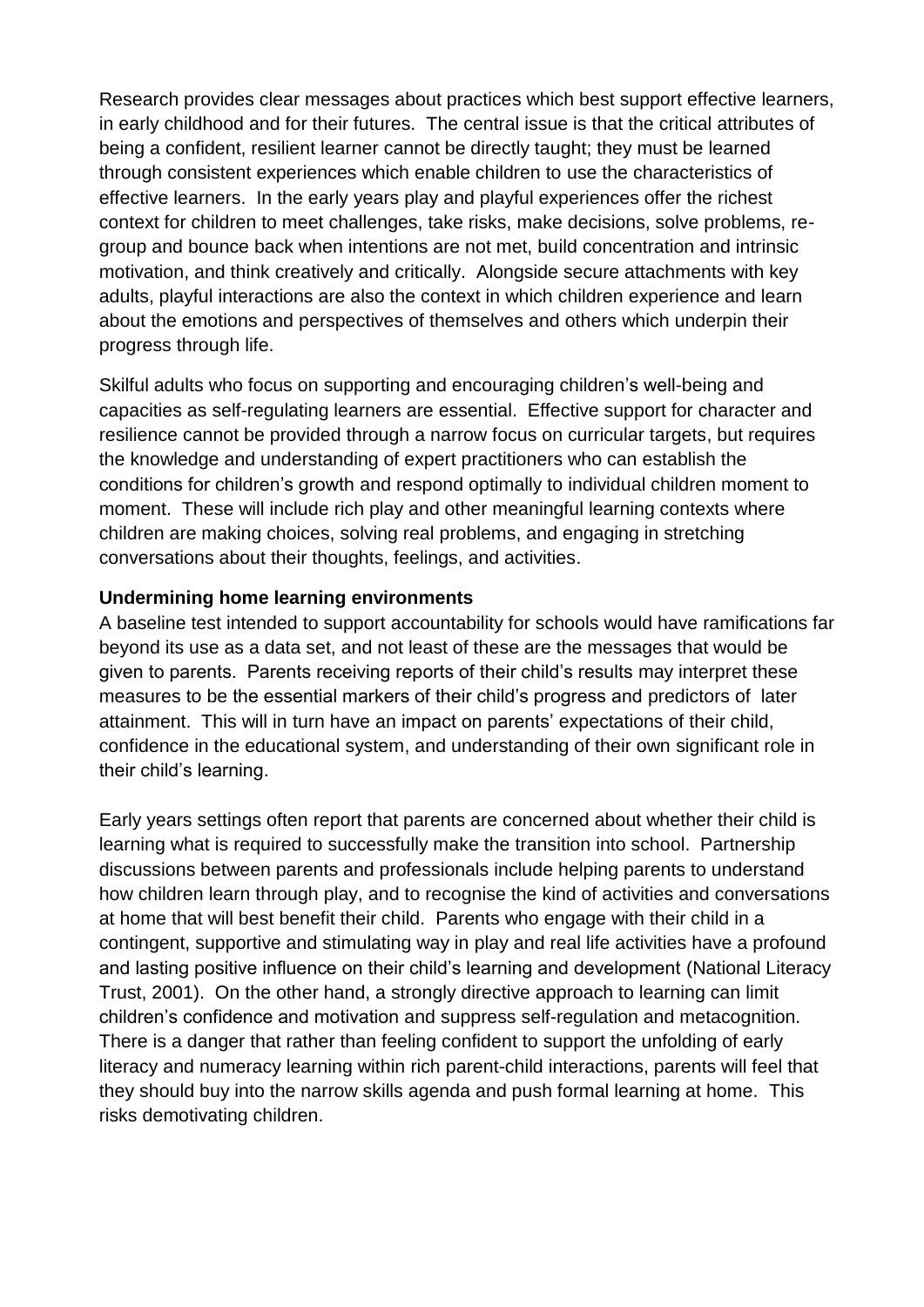Research provides clear messages about practices which best support effective learners, in early childhood and for their futures. The central issue is that the critical attributes of being a confident, resilient learner cannot be directly taught; they must be learned through consistent experiences which enable children to use the characteristics of effective learners. In the early years play and playful experiences offer the richest context for children to meet challenges, take risks, make decisions, solve problems, regroup and bounce back when intentions are not met, build concentration and intrinsic motivation, and think creatively and critically. Alongside secure attachments with key adults, playful interactions are also the context in which children experience and learn about the emotions and perspectives of themselves and others which underpin their progress through life.

Skilful adults who focus on supporting and encouraging children's well-being and capacities as self-regulating learners are essential. Effective support for character and resilience cannot be provided through a narrow focus on curricular targets, but requires the knowledge and understanding of expert practitioners who can establish the conditions for children's growth and respond optimally to individual children moment to moment. These will include rich play and other meaningful learning contexts where children are making choices, solving real problems, and engaging in stretching conversations about their thoughts, feelings, and activities.

### **Undermining home learning environments**

A baseline test intended to support accountability for schools would have ramifications far beyond its use as a data set, and not least of these are the messages that would be given to parents. Parents receiving reports of their child's results may interpret these measures to be the essential markers of their child's progress and predictors of later attainment. This will in turn have an impact on parents' expectations of their child, confidence in the educational system, and understanding of their own significant role in their child's learning.

Early years settings often report that parents are concerned about whether their child is learning what is required to successfully make the transition into school. Partnership discussions between parents and professionals include helping parents to understand how children learn through play, and to recognise the kind of activities and conversations at home that will best benefit their child. Parents who engage with their child in a contingent, supportive and stimulating way in play and real life activities have a profound and lasting positive influence on their child's learning and development (National Literacy Trust, 2001). On the other hand, a strongly directive approach to learning can limit children's confidence and motivation and suppress self-regulation and metacognition. There is a danger that rather than feeling confident to support the unfolding of early literacy and numeracy learning within rich parent-child interactions, parents will feel that they should buy into the narrow skills agenda and push formal learning at home. This risks demotivating children.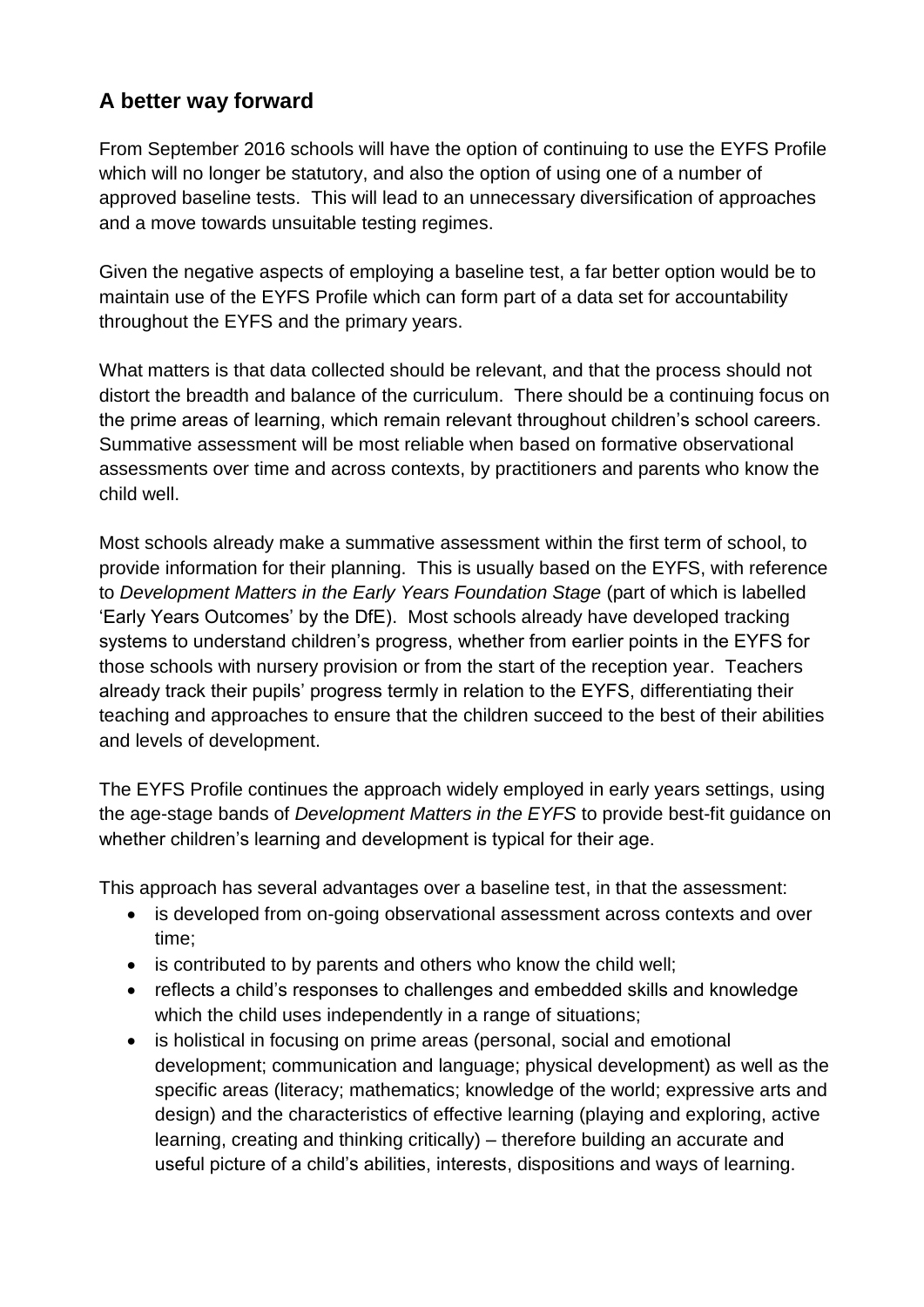# **A better way forward**

From September 2016 schools will have the option of continuing to use the EYFS Profile which will no longer be statutory, and also the option of using one of a number of approved baseline tests. This will lead to an unnecessary diversification of approaches and a move towards unsuitable testing regimes.

Given the negative aspects of employing a baseline test, a far better option would be to maintain use of the EYFS Profile which can form part of a data set for accountability throughout the EYFS and the primary years.

What matters is that data collected should be relevant, and that the process should not distort the breadth and balance of the curriculum. There should be a continuing focus on the prime areas of learning, which remain relevant throughout children's school careers. Summative assessment will be most reliable when based on formative observational assessments over time and across contexts, by practitioners and parents who know the child well.

Most schools already make a summative assessment within the first term of school, to provide information for their planning. This is usually based on the EYFS, with reference to *Development Matters in the Early Years Foundation Stage* (part of which is labelled 'Early Years Outcomes' by the DfE). Most schools already have developed tracking systems to understand children's progress, whether from earlier points in the EYFS for those schools with nursery provision or from the start of the reception year. Teachers already track their pupils' progress termly in relation to the EYFS, differentiating their teaching and approaches to ensure that the children succeed to the best of their abilities and levels of development.

The EYFS Profile continues the approach widely employed in early years settings, using the age-stage bands of *Development Matters in the EYFS* to provide best-fit guidance on whether children's learning and development is typical for their age.

This approach has several advantages over a baseline test, in that the assessment:

- is developed from on-going observational assessment across contexts and over time;
- is contributed to by parents and others who know the child well;
- reflects a child's responses to challenges and embedded skills and knowledge which the child uses independently in a range of situations;
- is holistical in focusing on prime areas (personal, social and emotional development; communication and language; physical development) as well as the specific areas (literacy; mathematics; knowledge of the world; expressive arts and design) and the characteristics of effective learning (playing and exploring, active learning, creating and thinking critically) – therefore building an accurate and useful picture of a child's abilities, interests, dispositions and ways of learning.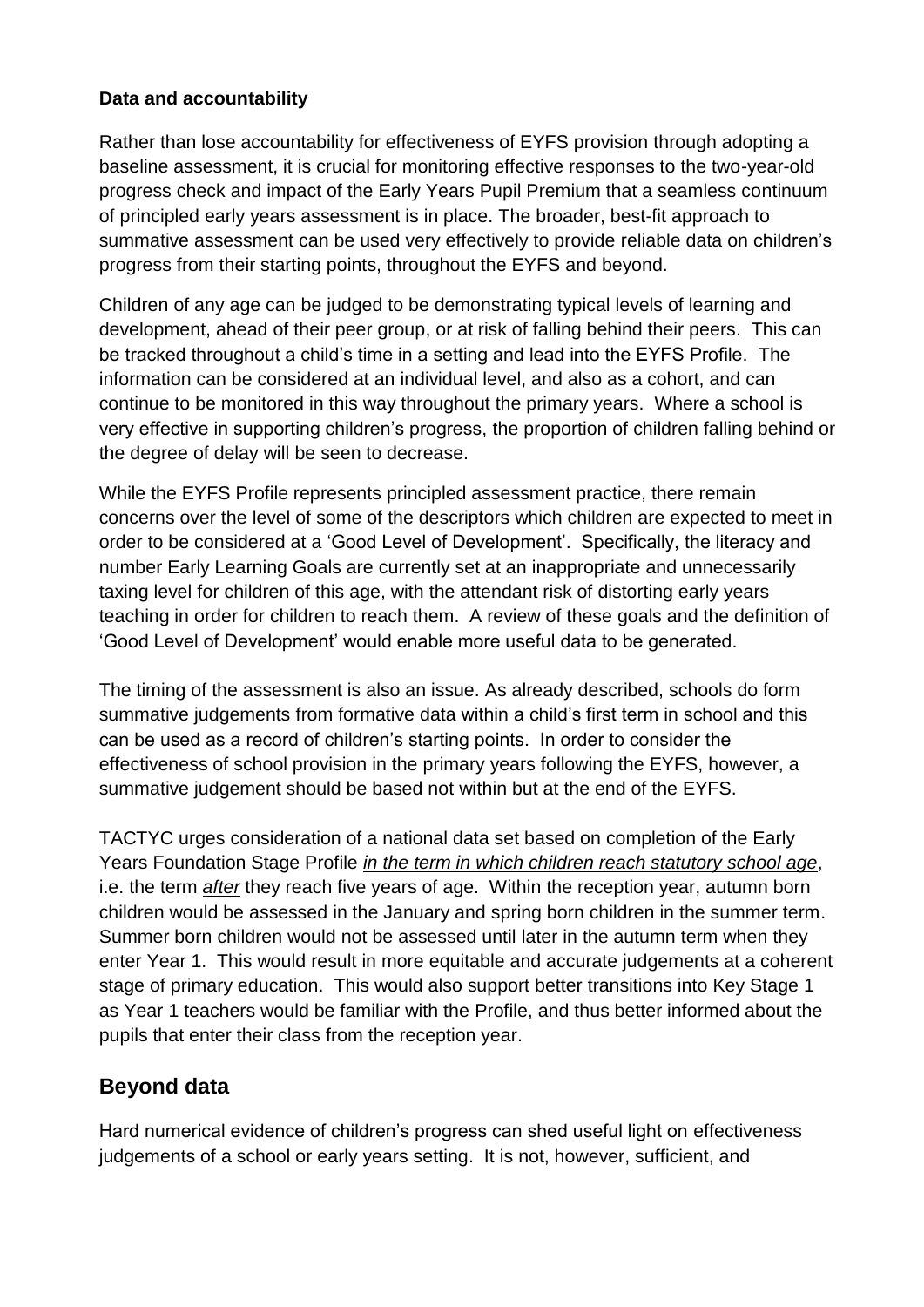### **Data and accountability**

Rather than lose accountability for effectiveness of EYFS provision through adopting a baseline assessment, it is crucial for monitoring effective responses to the two-year-old progress check and impact of the Early Years Pupil Premium that a seamless continuum of principled early years assessment is in place. The broader, best-fit approach to summative assessment can be used very effectively to provide reliable data on children's progress from their starting points, throughout the EYFS and beyond.

Children of any age can be judged to be demonstrating typical levels of learning and development, ahead of their peer group, or at risk of falling behind their peers. This can be tracked throughout a child's time in a setting and lead into the EYFS Profile. The information can be considered at an individual level, and also as a cohort, and can continue to be monitored in this way throughout the primary years. Where a school is very effective in supporting children's progress, the proportion of children falling behind or the degree of delay will be seen to decrease.

While the EYFS Profile represents principled assessment practice, there remain concerns over the level of some of the descriptors which children are expected to meet in order to be considered at a 'Good Level of Development'. Specifically, the literacy and number Early Learning Goals are currently set at an inappropriate and unnecessarily taxing level for children of this age, with the attendant risk of distorting early years teaching in order for children to reach them. A review of these goals and the definition of 'Good Level of Development' would enable more useful data to be generated.

The timing of the assessment is also an issue. As already described, schools do form summative judgements from formative data within a child's first term in school and this can be used as a record of children's starting points. In order to consider the effectiveness of school provision in the primary years following the EYFS, however, a summative judgement should be based not within but at the end of the EYFS.

TACTYC urges consideration of a national data set based on completion of the Early Years Foundation Stage Profile *in the term in which children reach statutory school age*, i.e. the term *after* they reach five years of age. Within the reception year, autumn born children would be assessed in the January and spring born children in the summer term. Summer born children would not be assessed until later in the autumn term when they enter Year 1. This would result in more equitable and accurate judgements at a coherent stage of primary education. This would also support better transitions into Key Stage 1 as Year 1 teachers would be familiar with the Profile, and thus better informed about the pupils that enter their class from the reception year.

## **Beyond data**

Hard numerical evidence of children's progress can shed useful light on effectiveness judgements of a school or early years setting. It is not, however, sufficient, and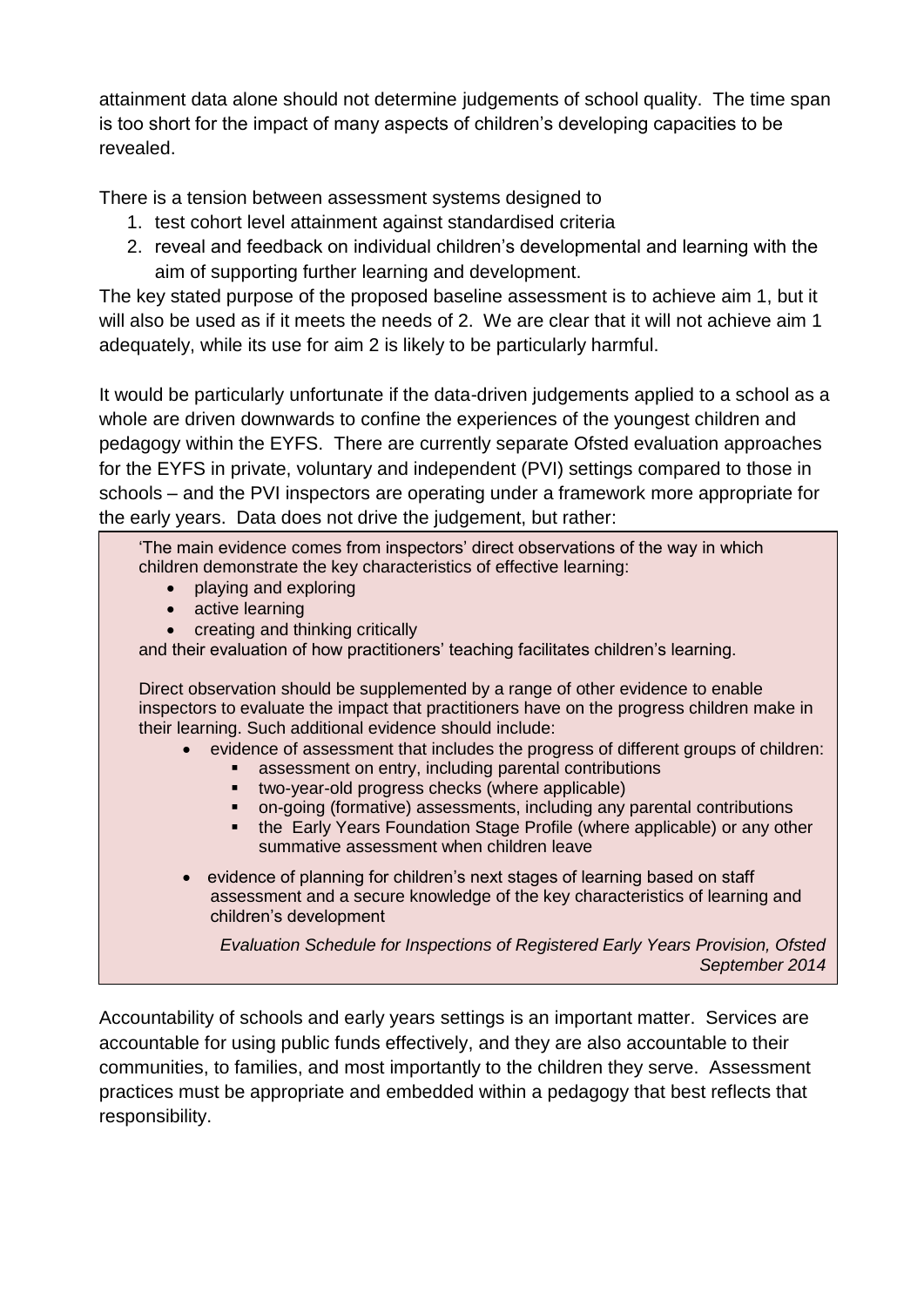attainment data alone should not determine judgements of school quality. The time span is too short for the impact of many aspects of children's developing capacities to be revealed.

There is a tension between assessment systems designed to

- 1. test cohort level attainment against standardised criteria
- 2. reveal and feedback on individual children's developmental and learning with the aim of supporting further learning and development.

The key stated purpose of the proposed baseline assessment is to achieve aim 1, but it will also be used as if it meets the needs of 2. We are clear that it will not achieve aim 1 adequately, while its use for aim 2 is likely to be particularly harmful.

It would be particularly unfortunate if the data-driven judgements applied to a school as a whole are driven downwards to confine the experiences of the youngest children and pedagogy within the EYFS. There are currently separate Ofsted evaluation approaches for the EYFS in private, voluntary and independent (PVI) settings compared to those in schools – and the PVI inspectors are operating under a framework more appropriate for the early years. Data does not drive the judgement, but rather:

'The main evidence comes from inspectors' direct observations of the way in which children demonstrate the key characteristics of effective learning:

- playing and exploring
- active learning
- creating and thinking critically

and their evaluation of how practitioners' teaching facilitates children's learning.

Direct observation should be supplemented by a range of other evidence to enable inspectors to evaluate the impact that practitioners have on the progress children make in their learning. Such additional evidence should include:

- evidence of assessment that includes the progress of different groups of children:
	- **assessment on entry, including parental contributions**
	- two-year-old progress checks (where applicable)
	- on-going (formative) assessments, including any parental contributions
	- the Early Years Foundation Stage Profile (where applicable) or any other summative assessment when children leave
- evidence of planning for children's next stages of learning based on staff assessment and a secure knowledge of the key characteristics of learning and children's development

*Evaluation Schedule for Inspections of Registered Early Years Provision, Ofsted September 2014*

Accountability of schools and early years settings is an important matter. Services are accountable for using public funds effectively, and they are also accountable to their communities, to families, and most importantly to the children they serve. Assessment practices must be appropriate and embedded within a pedagogy that best reflects that responsibility.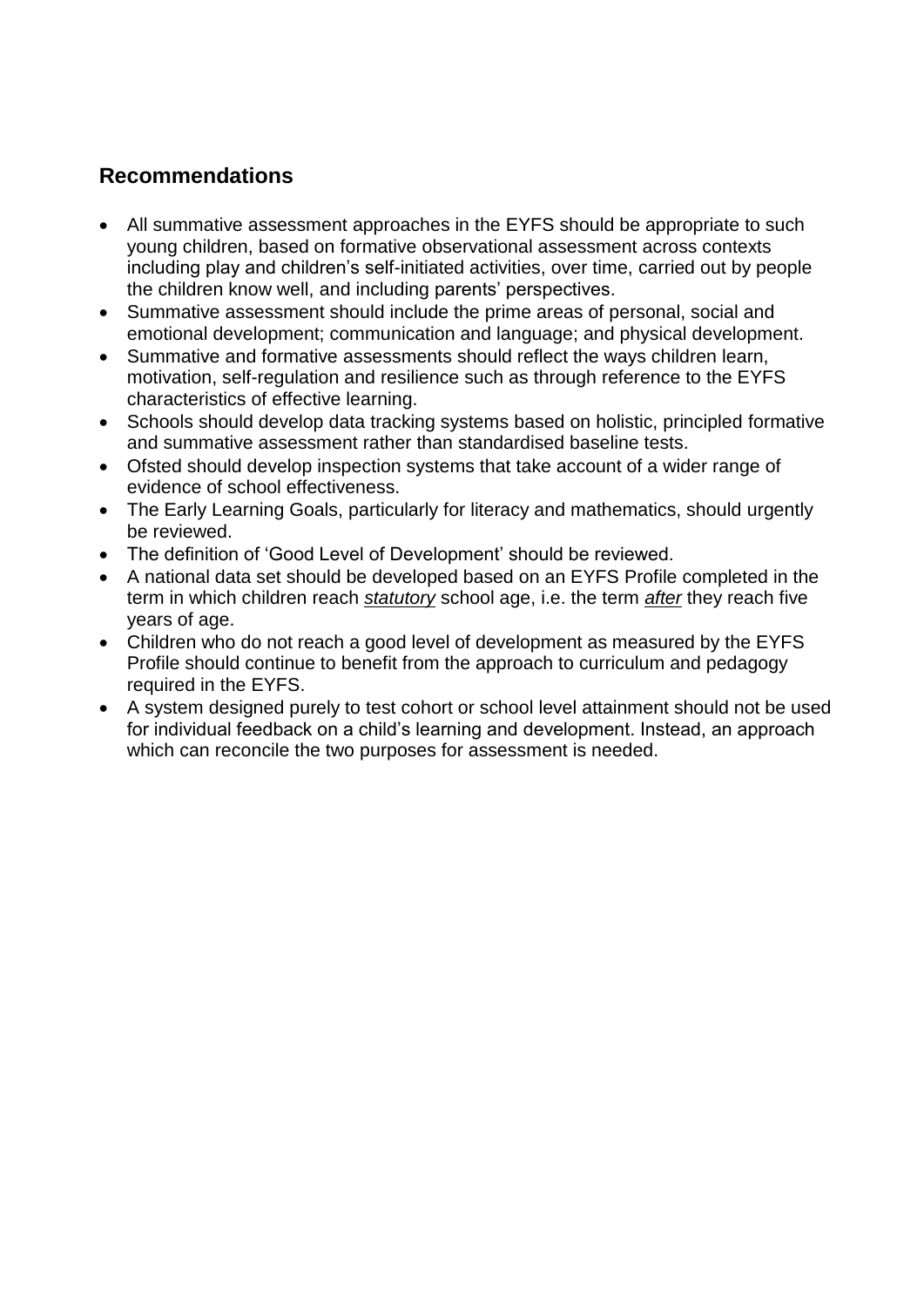### **Recommendations**

- All summative assessment approaches in the EYFS should be appropriate to such young children, based on formative observational assessment across contexts including play and children's self-initiated activities, over time, carried out by people the children know well, and including parents' perspectives.
- Summative assessment should include the prime areas of personal, social and emotional development; communication and language; and physical development.
- Summative and formative assessments should reflect the ways children learn, motivation, self-regulation and resilience such as through reference to the EYFS characteristics of effective learning.
- Schools should develop data tracking systems based on holistic, principled formative and summative assessment rather than standardised baseline tests.
- Ofsted should develop inspection systems that take account of a wider range of evidence of school effectiveness.
- The Early Learning Goals, particularly for literacy and mathematics, should urgently be reviewed.
- The definition of 'Good Level of Development' should be reviewed.
- A national data set should be developed based on an EYFS Profile completed in the term in which children reach *statutory* school age, i.e. the term *after* they reach five years of age.
- Children who do not reach a good level of development as measured by the EYFS Profile should continue to benefit from the approach to curriculum and pedagogy required in the EYFS.
- A system designed purely to test cohort or school level attainment should not be used for individual feedback on a child's learning and development. Instead, an approach which can reconcile the two purposes for assessment is needed.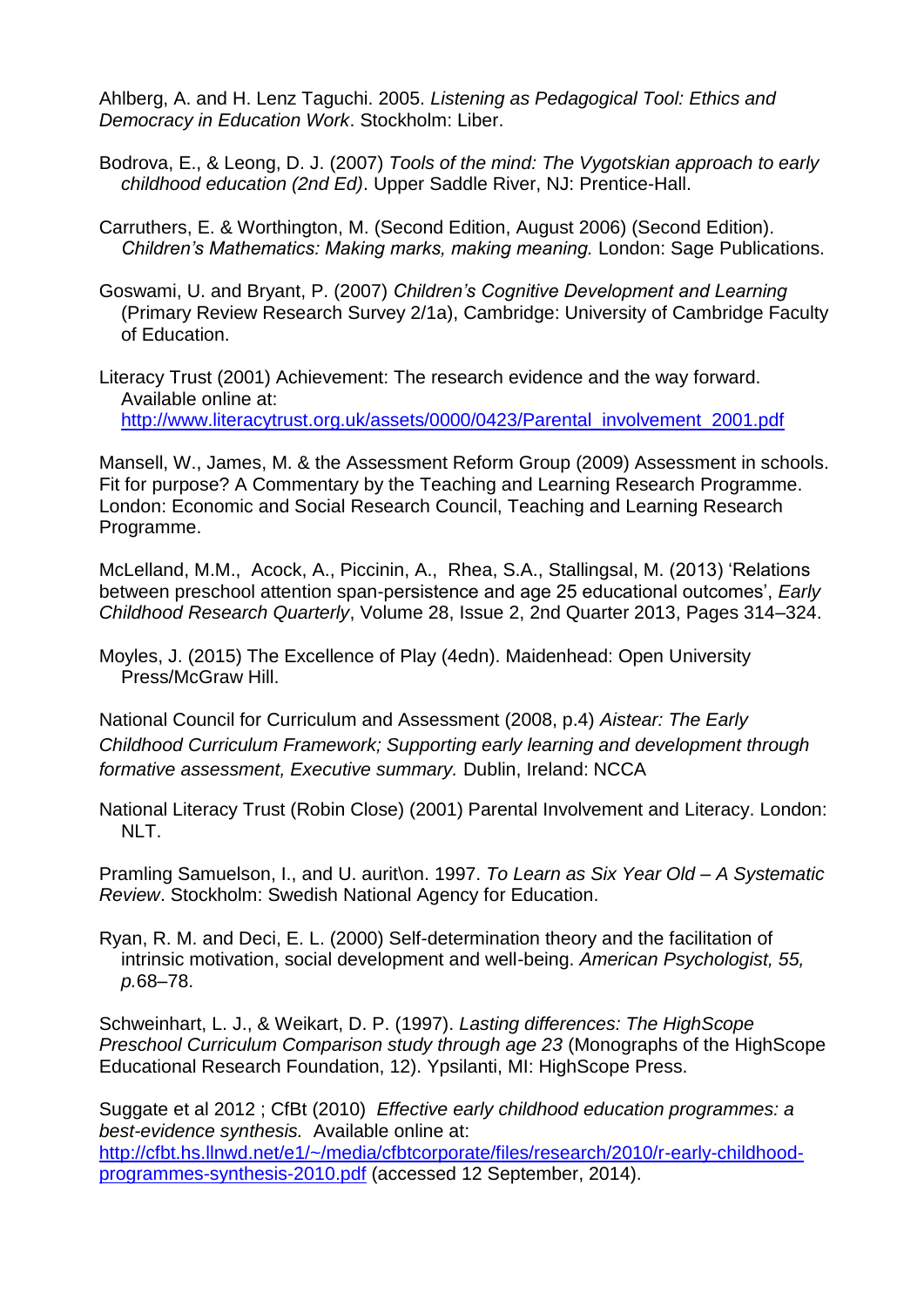Ahlberg, A. and H. Lenz Taguchi. 2005. *Listening as Pedagogical Tool: Ethics and Democracy in Education Work*. Stockholm: Liber.

- Bodrova, E., & Leong, D. J. (2007) *Tools of the mind: The Vygotskian approach to early childhood education (2nd Ed)*. Upper Saddle River, NJ: Prentice-Hall.
- Carruthers, E. & Worthington, M. (Second Edition, August 2006) (Second Edition). *Children's Mathematics: Making marks, making meaning.* London: Sage Publications.
- Goswami, U. and Bryant, P. (2007) *Children's Cognitive Development and Learning*  (Primary Review Research Survey 2/1a), Cambridge: University of Cambridge Faculty of Education.

Literacy Trust (2001) Achievement: The research evidence and the way forward. Available online at: [http://www.literacytrust.org.uk/assets/0000/0423/Parental\\_involvement\\_2001.pdf](http://www.literacytrust.org.uk/assets/0000/0423/Parental_involvement_2001.pdf)

Mansell, W., James, M. & the Assessment Reform Group (2009) Assessment in schools. Fit for purpose? A Commentary by the Teaching and Learning Research Programme. London: Economic and Social Research Council, Teaching and Learning Research Programme.

McLelland, M.M., Acock, A., Piccinin, A., Rhea, S.A., Stallingsal, M. (2013) 'Relations between preschool attention span-persistence and age 25 educational outcomes', *Early Childhood Research Quarterly*, Volume 28, Issue 2, 2nd Quarter 2013, Pages 314–324.

Moyles, J. (2015) The Excellence of Play (4edn). Maidenhead: Open University Press/McGraw Hill.

National Council for Curriculum and Assessment (2008, p.4) *Aistear: The Early Childhood Curriculum Framework; Supporting early learning and development through formative assessment, Executive summary.* Dublin, Ireland: NCCA

National Literacy Trust (Robin Close) (2001) Parental Involvement and Literacy. London: NLT.

Pramling Samuelson, I., and U. aurit\on. 1997. *To Learn as Six Year Old – A Systematic Review*. Stockholm: Swedish National Agency for Education.

Ryan, R. M. and Deci, E. L. (2000) Self-determination theory and the facilitation of intrinsic motivation, social development and well-being. *American Psychologist, 55, p.*68–78.

Schweinhart, L. J., & Weikart, D. P. (1997). *Lasting differences: The HighScope Preschool Curriculum Comparison study through age 23* (Monographs of the HighScope Educational Research Foundation, 12). Ypsilanti, MI: HighScope Press.

Suggate et al 2012 ; CfBt (2010) *Effective early childhood education programmes: a best-evidence synthesis.* Available online at: [http://cfbt.hs.llnwd.net/e1/~/media/cfbtcorporate/files/research/2010/r-early-childhood](http://cfbt.hs.llnwd.net/e1/~/media/cfbtcorporate/files/research/2010/r-early-childhood-programmes-synthesis-2010.pdf)[programmes-synthesis-2010.pdf](http://cfbt.hs.llnwd.net/e1/~/media/cfbtcorporate/files/research/2010/r-early-childhood-programmes-synthesis-2010.pdf) (accessed 12 September, 2014).